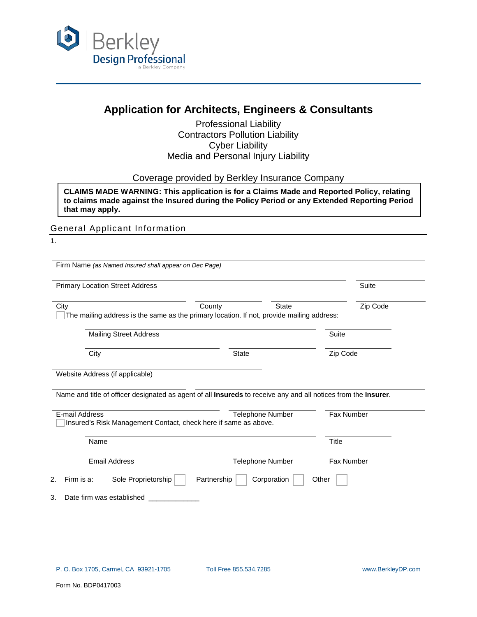

# **Application for Architects, Engineers & Consultants**

Professional Liability Contractors Pollution Liability Cyber Liability Media and Personal Injury Liability

Coverage provided by Berkley Insurance Company

**CLAIMS MADE WARNING: This application is for a Claims Made and Reported Policy, relating to claims made against the Insured during the Policy Period or any Extended Reporting Period that may apply.**

General Applicant Information

1.

Firm Name *(as Named Insured shall appear on Dec Page)* 

| <b>Primary Location Street Address</b> |                                                                 |                                                                                                                               | Suite             |
|----------------------------------------|-----------------------------------------------------------------|-------------------------------------------------------------------------------------------------------------------------------|-------------------|
| City                                   | County                                                          | <b>State</b><br>The mailing address is the same as the primary location. If not, provide mailing address:                     | Zip Code          |
| <b>Mailing Street Address</b>          |                                                                 |                                                                                                                               | Suite             |
| City                                   |                                                                 | <b>State</b>                                                                                                                  | Zip Code          |
| Website Address (if applicable)        |                                                                 |                                                                                                                               |                   |
|                                        |                                                                 |                                                                                                                               |                   |
|                                        |                                                                 | Name and title of officer designated as agent of all <b>Insureds</b> to receive any and all notices from the <b>Insurer</b> . |                   |
| E-mail Address                         | Insured's Risk Management Contact, check here if same as above. | <b>Telephone Number</b>                                                                                                       | <b>Fax Number</b> |
| Name                                   |                                                                 |                                                                                                                               | <b>Title</b>      |
| <b>Email Address</b>                   |                                                                 | Telephone Number                                                                                                              | Fax Number        |

3. Date firm was established \_\_\_\_\_\_\_\_\_\_\_\_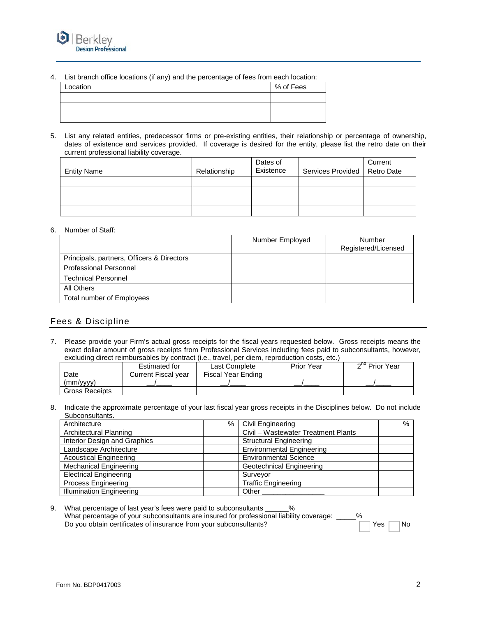

4. List branch office locations (if any) and the percentage of fees from each location:

| Location | % of Fees |
|----------|-----------|
|          |           |
|          |           |
|          |           |
|          |           |

5. List any related entities, predecessor firms or pre-existing entities, their relationship or percentage of ownership, dates of existence and services provided. If coverage is desired for the entity, please list the retro date on their current professional liability coverage.

| <b>Entity Name</b> | Relationship | Dates of<br>Existence | Services Provided   Retro Date | Current |
|--------------------|--------------|-----------------------|--------------------------------|---------|
|                    |              |                       |                                |         |
|                    |              |                       |                                |         |
|                    |              |                       |                                |         |
|                    |              |                       |                                |         |

## 6. Number of Staff:

|                                            | Number Employed | Number<br>Registered/Licensed |
|--------------------------------------------|-----------------|-------------------------------|
| Principals, partners, Officers & Directors |                 |                               |
| <b>Professional Personnel</b>              |                 |                               |
| <b>Technical Personnel</b>                 |                 |                               |
| All Others                                 |                 |                               |
| Total number of Employees                  |                 |                               |

## Fees & Discipline

7. Please provide your Firm's actual gross receipts for the fiscal years requested below. Gross receipts means the exact dollar amount of gross receipts from Professional Services including fees paid to subconsultants, however, excluding direct reimbursables by contract (i.e., travel, per diem, reproduction costs, etc.)

|                       | Estimated for       | Last Complete      | <b>Prior Year</b> | 2 <sup>nd</sup> Prior Year |
|-----------------------|---------------------|--------------------|-------------------|----------------------------|
| Date                  | Current Fiscal year | Fiscal Year Ending |                   |                            |
| (mm/vvvv)             |                     |                    |                   |                            |
| <b>Gross Receipts</b> |                     |                    |                   |                            |

8. Indicate the approximate percentage of your last fiscal year gross receipts in the Disciplines below. Do not include Subconsultants.

| Architecture                    | % | Civil Engineering                   | % |
|---------------------------------|---|-------------------------------------|---|
| Architectural Planning          |   | Civil - Wastewater Treatment Plants |   |
| Interior Design and Graphics    |   | <b>Structural Engineering</b>       |   |
| Landscape Architecture          |   | <b>Environmental Engineering</b>    |   |
| <b>Acoustical Engineering</b>   |   | <b>Environmental Science</b>        |   |
| <b>Mechanical Engineering</b>   |   | Geotechnical Engineering            |   |
| <b>Electrical Engineering</b>   |   | Survevor                            |   |
| <b>Process Engineering</b>      |   | <b>Traffic Engineering</b>          |   |
| <b>Illumination Engineering</b> |   | Other                               |   |

<sup>9.</sup> What percentage of last year's fees were paid to subconsultants \_\_\_\_\_\_ % What percentage of your subconsultants are insured for professional liability coverage: \_\_\_\_\_% Do you obtain certificates of insurance from your subconsultants? The North Constants of The North States North States North States North States North States North States North States North States North States North States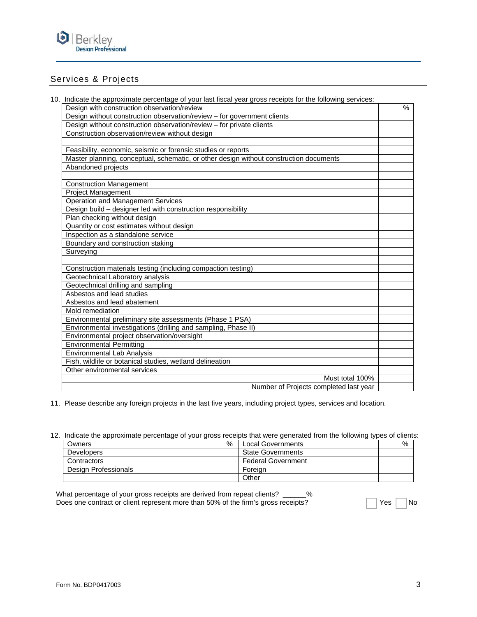

## Services & Projects

10. Indicate the approximate percentage of your last fiscal year gross receipts for the following services:

| Design with construction observation/review                                            | % |
|----------------------------------------------------------------------------------------|---|
| Design without construction observation/review - for government clients                |   |
| Design without construction observation/review - for private clients                   |   |
| Construction observation/review without design                                         |   |
|                                                                                        |   |
| Feasibility, economic, seismic or forensic studies or reports                          |   |
| Master planning, conceptual, schematic, or other design without construction documents |   |
| Abandoned projects                                                                     |   |
|                                                                                        |   |
| <b>Construction Management</b>                                                         |   |
| Project Management                                                                     |   |
| <b>Operation and Management Services</b>                                               |   |
| Design build - designer led with construction responsibility                           |   |
| Plan checking without design                                                           |   |
| Quantity or cost estimates without design                                              |   |
| Inspection as a standalone service                                                     |   |
| Boundary and construction staking                                                      |   |
| Surveying                                                                              |   |
|                                                                                        |   |
| Construction materials testing (including compaction testing)                          |   |
| Geotechnical Laboratory analysis                                                       |   |
| Geotechnical drilling and sampling                                                     |   |
| Asbestos and lead studies                                                              |   |
| Asbestos and lead abatement                                                            |   |
| Mold remediation                                                                       |   |
| Environmental preliminary site assessments (Phase 1 PSA)                               |   |
| Environmental investigations (drilling and sampling, Phase II)                         |   |
| Environmental project observation/oversight                                            |   |
| <b>Environmental Permitting</b>                                                        |   |
| <b>Environmental Lab Analysis</b>                                                      |   |
| Fish, wildlife or botanical studies, wetland delineation                               |   |
| Other environmental services                                                           |   |
| Must total 100%                                                                        |   |
| Number of Projects completed last year                                                 |   |

11. Please describe any foreign projects in the last five years, including project types, services and location.

12. Indicate the approximate percentage of your gross receipts that were generated from the following types of clients:

| Owners               | % | <b>Local Governments</b>  | % |
|----------------------|---|---------------------------|---|
| <b>Developers</b>    |   | <b>State Governments</b>  |   |
| Contractors          |   | <b>Federal Government</b> |   |
| Design Professionals |   | Foreian                   |   |
|                      |   | Other                     |   |

| What percentage of your gross receipts are derived from repeat clients? ______%   |                        |           |
|-----------------------------------------------------------------------------------|------------------------|-----------|
| Does one contract or client represent more than 50% of the firm's gross receipts? | $\Box$ Yes $\parallel$ | $\Box$ No |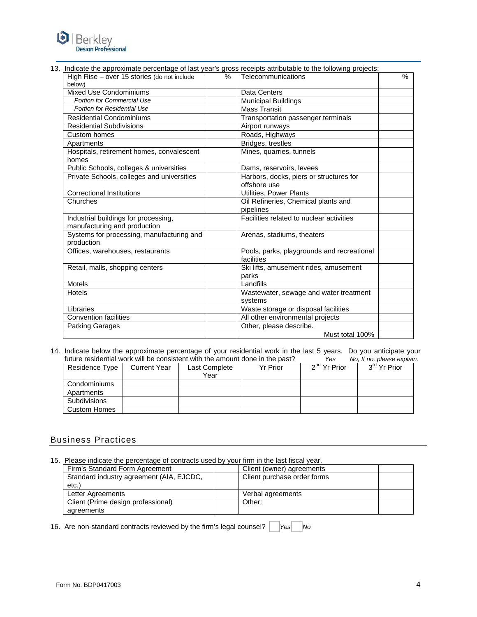

#### 13. Indicate the approximate percentage of last year's gross receipts attributable to the following projects:

| High Rise - over 15 stories (do not include<br>below)                | $\%$ | Telecommunications                                       | % |
|----------------------------------------------------------------------|------|----------------------------------------------------------|---|
| <b>Mixed Use Condominiums</b>                                        |      | <b>Data Centers</b>                                      |   |
| <b>Portion for Commercial Use</b>                                    |      | Municipal Buildings                                      |   |
| Portion for Residential Use                                          |      | <b>Mass Transit</b>                                      |   |
| <b>Residential Condominiums</b>                                      |      | Transportation passenger terminals                       |   |
| <b>Residential Subdivisions</b>                                      |      | Airport runways                                          |   |
| Custom homes                                                         |      | Roads, Highways                                          |   |
| Apartments                                                           |      | Bridges, trestles                                        |   |
| Hospitals, retirement homes, convalescent<br>homes                   |      | Mines, quarries, tunnels                                 |   |
| Public Schools, colleges & universities                              |      | Dams, reservoirs, levees                                 |   |
| Private Schools, colleges and universities                           |      | Harbors, docks, piers or structures for<br>offshore use  |   |
| <b>Correctional Institutions</b>                                     |      | Utilities, Power Plants                                  |   |
| Churches                                                             |      | Oil Refineries, Chemical plants and<br>pipelines         |   |
| Industrial buildings for processing,<br>manufacturing and production |      | Facilities related to nuclear activities                 |   |
| Systems for processing, manufacturing and<br>production              |      | Arenas, stadiums, theaters                               |   |
| Offices, warehouses, restaurants                                     |      | Pools, parks, playgrounds and recreational<br>facilities |   |
| Retail, malls, shopping centers                                      |      | Ski lifts, amusement rides, amusement<br>parks           |   |
| <b>Motels</b>                                                        |      | Landfills                                                |   |
| Hotels                                                               |      | Wastewater, sewage and water treatment<br>systems        |   |
| Libraries                                                            |      | Waste storage or disposal facilities                     |   |
| <b>Convention facilities</b>                                         |      | All other environmental projects                         |   |
| <b>Parking Garages</b>                                               |      | Other, please describe.                                  |   |
|                                                                      |      | Must total 100%                                          |   |

14. Indicate below the approximate percentage of your residential work in the last 5 years. Do you anticipate your future residential work will be consistent with the amount done in the past? Yes No, If no, please explain. future residential work will be consistent with the amount done in the past?

| Residence Type      | <b>Current Year</b> | Last Complete<br>Year | <b>Yr Prior</b> | 2 <sup>nd</sup> Yr Prior | $3^{\text{rd}}$ Yr Prior |
|---------------------|---------------------|-----------------------|-----------------|--------------------------|--------------------------|
| Condominiums        |                     |                       |                 |                          |                          |
| Apartments          |                     |                       |                 |                          |                          |
| <b>Subdivisions</b> |                     |                       |                 |                          |                          |
| <b>Custom Homes</b> |                     |                       |                 |                          |                          |

## Business Practices

15. Please indicate the percentage of contracts used by your firm in the last fiscal year.

| Firm's Standard Form Agreement           | Client (owner) agreements   |  |
|------------------------------------------|-----------------------------|--|
| Standard industry agreement (AIA, EJCDC, | Client purchase order forms |  |
| etc.                                     |                             |  |
| Letter Agreements                        | Verbal agreements           |  |
| Client (Prime design professional)       | Other:                      |  |
| agreements                               |                             |  |

16. Are non-standard contracts reviewed by the firm's legal counsel? |  $|Yes|$  | No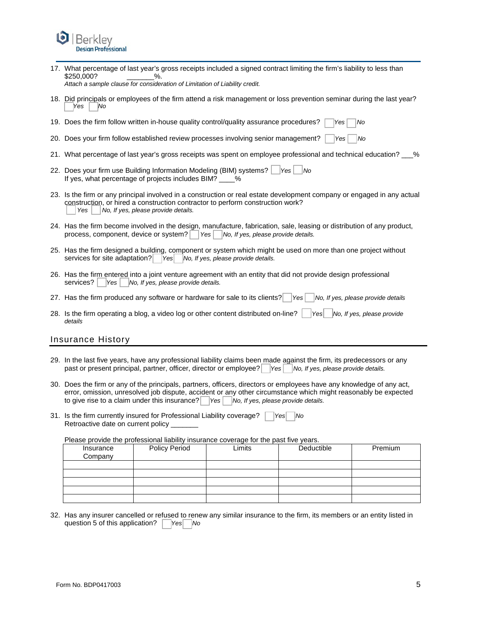

17. What percentage of last year's gross receipts included a signed contract limiting the firm's liability to less than<br>\$250.000? \$250,000?

*Attach a sample clause for consideration of Limitation of Liability credit.* 

18. Did principals or employees of the firm attend a risk management or loss prevention seminar during the last year? *Yes* | *No* 

19. Does the firm follow written in-house quality control/quality assurance procedures? *Yes No*

- 20. Does your firm follow established review processes involving senior management? *Yes No*
- 21. What percentage of last year's gross receipts was spent on employee professional and technical education? %
- 22. Does your firm use Building Information Modeling (BIM) systems? *Yes No* If yes, what percentage of projects includes BIM? \_\_\_\_%
- 23. Is the firm or any principal involved in a construction or real estate development company or engaged in any actual construction, or hired a construction contractor to perform construction work? *Yes* | *No, If yes, please provide details.*
- 24. Has the firm become involved in the design, manufacture, fabrication, sale, leasing or distribution of any product, process, component, device or system? | Yes | No, If yes, please provide details.
- 25. Has the firm designed a building, component or system which might be used on more than one project without services for site adaptation? *Yes No, If yes, please provide details.*
- 26. Has the firm entered into a joint venture agreement with an entity that did not provide design professional services? | Yes | No, If yes, please provide details.
- 27. Has the firm produced any software or hardware for sale to its clients? *Yes No, If yes, please provide details*
- 28. Is the firm operating a blog, a video log or other content distributed on-line? *Yes No, If yes, please provide details*

## Insurance History

- 29. In the last five years, have any professional liability claims been made against the firm, its predecessors or any past or present principal, partner, officer, director or employee? Yes No, If yes, please provide details.
- 30. Does the firm or any of the principals, partners, officers, directors or employees have any knowledge of any act, error, omission, unresolved job dispute, accident or any other circumstance which might reasonably be expected to give rise to a claim under this insurance? *Yes No, If yes, please provide details.*
- 31. Is the firm currently insured for Professional Liability coverage? *Yes No* Retroactive date on current policy

Please provide the professional liability insurance coverage for the past five years.

| Insurance<br>Company | <b>Policy Period</b> | Limits | Deductible | Premium |
|----------------------|----------------------|--------|------------|---------|
|                      |                      |        |            |         |
|                      |                      |        |            |         |
|                      |                      |        |            |         |
|                      |                      |        |            |         |
|                      |                      |        |            |         |

32. Has any insurer cancelled or refused to renew any similar insurance to the firm, its members or an entity listed in question 5 of this application? *Yes No*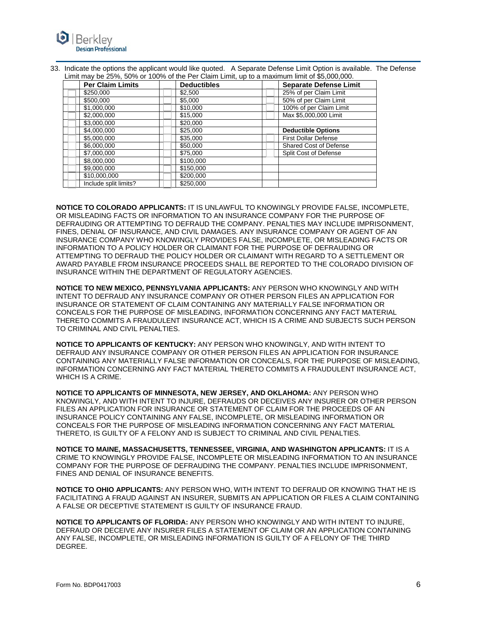

| 33. Indicate the options the applicant would like quoted. A Separate Defense Limit Option is available. The Defense |  |
|---------------------------------------------------------------------------------------------------------------------|--|
| Limit may be 25%, 50% or 100% of the Per Claim Limit, up to a maximum limit of \$5,000,000.                         |  |

| <b>Per Claim Limits</b> | <b>Deductibles</b> | <b>Separate Defense Limit</b> |
|-------------------------|--------------------|-------------------------------|
| \$250,000               | \$2,500            | 25% of per Claim Limit        |
| \$500,000               | \$5,000            | 50% of per Claim Limit        |
| \$1,000,000             | \$10,000           | 100% of per Claim Limit       |
| \$2,000,000             | \$15,000           | Max \$5,000,000 Limit         |
| \$3,000,000             | \$20,000           |                               |
| \$4,000,000             | \$25,000           | <b>Deductible Options</b>     |
| \$5,000,000             | \$35,000           | <b>First Dollar Defense</b>   |
| \$6,000,000             | \$50,000           | <b>Shared Cost of Defense</b> |
| \$7,000,000             | \$75,000           | Split Cost of Defense         |
| \$8,000,000             | \$100,000          |                               |
| \$9,000,000             | \$150,000          |                               |
| \$10,000,000            | \$200,000          |                               |
| Include split limits?   | \$250,000          |                               |

**NOTICE TO COLORADO APPLICANTS:** IT IS UNLAWFUL TO KNOWINGLY PROVIDE FALSE, INCOMPLETE, OR MISLEADING FACTS OR INFORMATION TO AN INSURANCE COMPANY FOR THE PURPOSE OF DEFRAUDING OR ATTEMPTING TO DEFRAUD THE COMPANY. PENALTIES MAY INCLUDE IMPRISONMENT, FINES, DENIAL OF INSURANCE, AND CIVIL DAMAGES. ANY INSURANCE COMPANY OR AGENT OF AN INSURANCE COMPANY WHO KNOWINGLY PROVIDES FALSE, INCOMPLETE, OR MISLEADING FACTS OR INFORMATION TO A POLICY HOLDER OR CLAIMANT FOR THE PURPOSE OF DEFRAUDING OR ATTEMPTING TO DEFRAUD THE POLICY HOLDER OR CLAIMANT WITH REGARD TO A SETTLEMENT OR AWARD PAYABLE FROM INSURANCE PROCEEDS SHALL BE REPORTED TO THE COLORADO DIVISION OF INSURANCE WITHIN THE DEPARTMENT OF REGULATORY AGENCIES.

**NOTICE TO NEW MEXICO, PENNSYLVANIA APPLICANTS:** ANY PERSON WHO KNOWINGLY AND WITH INTENT TO DEFRAUD ANY INSURANCE COMPANY OR OTHER PERSON FILES AN APPLICATION FOR INSURANCE OR STATEMENT OF CLAIM CONTAINING ANY MATERIALLY FALSE INFORMATION OR CONCEALS FOR THE PURPOSE OF MISLEADING, INFORMATION CONCERNING ANY FACT MATERIAL THERETO COMMITS A FRAUDULENT INSURANCE ACT, WHICH IS A CRIME AND SUBJECTS SUCH PERSON TO CRIMINAL AND CIVIL PENALTIES.

**NOTICE TO APPLICANTS OF KENTUCKY:** ANY PERSON WHO KNOWINGLY, AND WITH INTENT TO DEFRAUD ANY INSURANCE COMPANY OR OTHER PERSON FILES AN APPLICATION FOR INSURANCE CONTAINING ANY MATERIALLY FALSE INFORMATION OR CONCEALS, FOR THE PURPOSE OF MISLEADING, INFORMATION CONCERNING ANY FACT MATERIAL THERETO COMMITS A FRAUDULENT INSURANCE ACT, WHICH IS A CRIME.

**NOTICE TO APPLICANTS OF MINNESOTA, NEW JERSEY, AND OKLAHOMA:** ANY PERSON WHO KNOWINGLY, AND WITH INTENT TO INJURE, DEFRAUDS OR DECEIVES ANY INSURER OR OTHER PERSON FILES AN APPLICATION FOR INSURANCE OR STATEMENT OF CLAIM FOR THE PROCEEDS OF AN INSURANCE POLICY CONTAINING ANY FALSE, INCOMPLETE, OR MISLEADING INFORMATION OR CONCEALS FOR THE PURPOSE OF MISLEADING INFORMATION CONCERNING ANY FACT MATERIAL THERETO, IS GUILTY OF A FELONY AND IS SUBJECT TO CRIMINAL AND CIVIL PENALTIES.

**NOTICE TO MAINE, MASSACHUSETTS, TENNESSEE, VIRGINIA, AND WASHINGTON APPLICANTS:** IT IS A CRIME TO KNOWINGLY PROVIDE FALSE, INCOMPLETE OR MISLEADING INFORMATION TO AN INSURANCE COMPANY FOR THE PURPOSE OF DEFRAUDING THE COMPANY. PENALTIES INCLUDE IMPRISONMENT, FINES AND DENIAL OF INSURANCE BENEFITS.

**NOTICE TO OHIO APPLICANTS:** ANY PERSON WHO, WITH INTENT TO DEFRAUD OR KNOWING THAT HE IS FACILITATING A FRAUD AGAINST AN INSURER, SUBMITS AN APPLICATION OR FILES A CLAIM CONTAINING A FALSE OR DECEPTIVE STATEMENT IS GUILTY OF INSURANCE FRAUD.

**NOTICE TO APPLICANTS OF FLORIDA:** ANY PERSON WHO KNOWINGLY AND WITH INTENT TO INJURE, DEFRAUD OR DECEIVE ANY INSURER FILES A STATEMENT OF CLAIM OR AN APPLICATION CONTAINING ANY FALSE, INCOMPLETE, OR MISLEADING INFORMATION IS GUILTY OF A FELONY OF THE THIRD DEGREE.